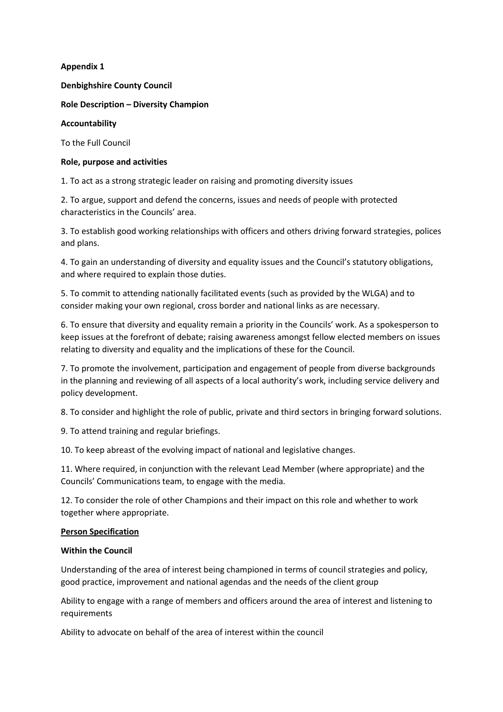**Appendix 1**

**Denbighshire County Council**

**Role Description – Diversity Champion**

# **Accountability**

To the Full Council

# **Role, purpose and activities**

1. To act as a strong strategic leader on raising and promoting diversity issues

2. To argue, support and defend the concerns, issues and needs of people with protected characteristics in the Councils' area.

3. To establish good working relationships with officers and others driving forward strategies, polices and plans.

4. To gain an understanding of diversity and equality issues and the Council's statutory obligations, and where required to explain those duties.

5. To commit to attending nationally facilitated events (such as provided by the WLGA) and to consider making your own regional, cross border and national links as are necessary.

6. To ensure that diversity and equality remain a priority in the Councils' work. As a spokesperson to keep issues at the forefront of debate; raising awareness amongst fellow elected members on issues relating to diversity and equality and the implications of these for the Council.

7. To promote the involvement, participation and engagement of people from diverse backgrounds in the planning and reviewing of all aspects of a local authority's work, including service delivery and policy development.

8. To consider and highlight the role of public, private and third sectors in bringing forward solutions.

9. To attend training and regular briefings.

10. To keep abreast of the evolving impact of national and legislative changes.

11. Where required, in conjunction with the relevant Lead Member (where appropriate) and the Councils' Communications team, to engage with the media.

12. To consider the role of other Champions and their impact on this role and whether to work together where appropriate.

### **Person Specification**

#### **Within the Council**

Understanding of the area of interest being championed in terms of council strategies and policy, good practice, improvement and national agendas and the needs of the client group

Ability to engage with a range of members and officers around the area of interest and listening to requirements

Ability to advocate on behalf of the area of interest within the council